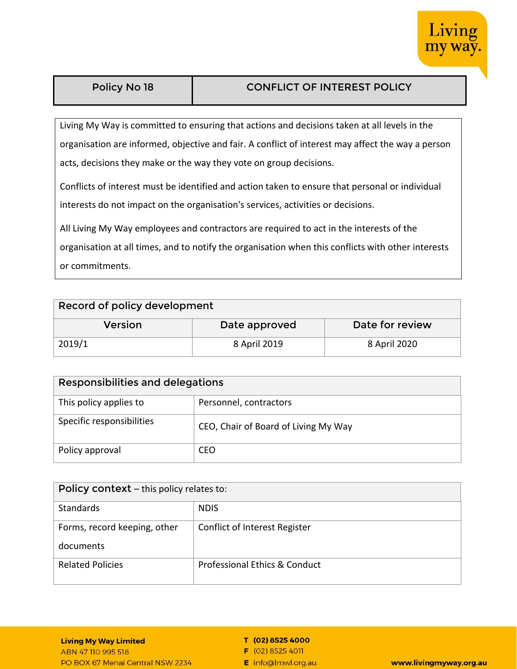

| Policy No 18 |  |
|--------------|--|
|--------------|--|

# **PONFLICT OF INTEREST POLICY**

Living My Way is committed to ensuring that actions and decisions taken at all levels in the organisation are informed, objective and fair. A conflict of interest may affect the way a person acts, decisions they make or the way they vote on group decisions.

Conflicts of interest must be identified and action taken to ensure that personal or individual interests do not impact on the organisation's services, activities or decisions.

All Living My Way employees and contractors are required to act in the interests of the

organisation at all times, and to notify the organisation when this conflicts with other interests or commitments.

### **Record of policy development**

| Version | Date approved | Date for review |
|---------|---------------|-----------------|
| 2019/1  | 8 April 2019  | 8 April 2020    |

| Responsibilities and delegations |                                      |  |
|----------------------------------|--------------------------------------|--|
| This policy applies to           | Personnel, contractors               |  |
| Specific responsibilities        | CEO, Chair of Board of Living My Way |  |
| Policy approval                  | CEO                                  |  |

| Policy context - this policy relates to: |                               |  |
|------------------------------------------|-------------------------------|--|
| Standards                                | <b>NDIS</b>                   |  |
| Forms, record keeping, other             | Conflict of Interest Register |  |
| documents                                |                               |  |
| <b>Related Policies</b>                  | Professional Ethics & Conduct |  |

#### **Living My Way Limited**

ABN 47 110 995 518 PO BOX 67 Menai Central NSW 2234

#### T (02) 8525 4000

 $F(02)85254011$ 

E info@lmwl.org.au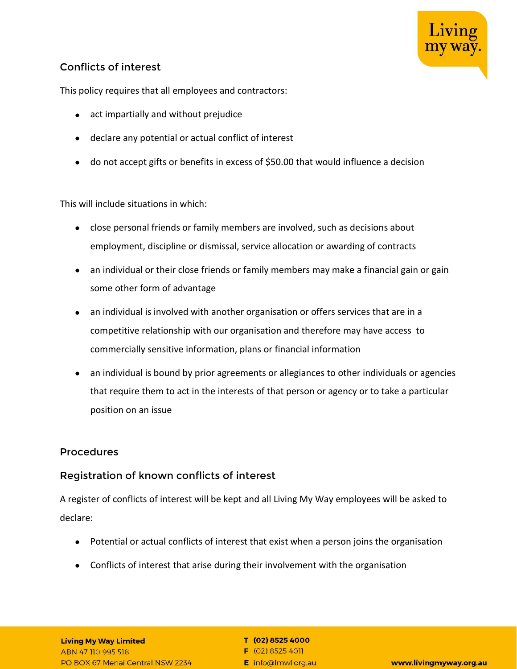

# **Conflicts of interest**

This policy requires that all employees and contractors:

- act impartially and without prejudice
- declare any potential or actual conflict of interest
- do not accept gifts or benefits in excess of \$50.00 that would influence a decision

This will include situations in which:

- close personal friends or family members are involved, such as decisions about employment, discipline or dismissal, service allocation or awarding of contracts
- an individual or their close friends or family members may make a financial gain or gain some other form of advantage
- an individual is involved with another organisation or offers services that are in a competitive relationship with our organisation and therefore may have access to commercially sensitive information, plans or financial information
- an individual is bound by prior agreements or allegiances to other individuals or agencies that require them to act in the interests of that person or agency or to take a particular position on an issue

### **Procedures**

# **Registration of known conflicts of interest**

A register of conflicts of interest will be kept and all Living My Way employees will be asked to declare:

- Potential or actual conflicts of interest that exist when a person joins the organisation
- Conflicts of interest that arise during their involvement with the organisation

#### **Living My Way Limited** ABN 47 110 995 518 PO BOX 67 Menai Central NSW 2234

T (02) 8525 4000

 $F(02)85254011$ E info@lmwl.org.au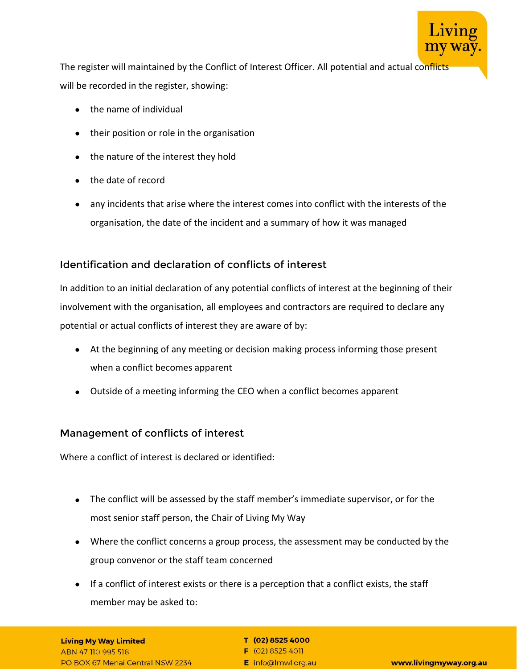

The register will maintained by the Conflict of Interest Officer. All potential and actual conflicts will be recorded in the register, showing:

- the name of individual
- their position or role in the organisation
- the nature of the interest they hold
- the date of record
- any incidents that arise where the interest comes into conflict with the interests of the organisation, the date of the incident and a summary of how it was managed

# **Identification and declaration of conflicts of interest**

In addition to an initial declaration of any potential conflicts of interest at the beginning of their involvement with the organisation, all employees and contractors are required to declare any potential or actual conflicts of interest they are aware of by:

- At the beginning of any meeting or decision making process informing those present when a conflict becomes apparent
- Outside of a meeting informing the CEO when a conflict becomes apparent

# **Management of conflicts of interest**

Where a conflict of interest is declared or identified:

- The conflict will be assessed by the staff member's immediate supervisor, or for the most senior staff person, the Chair of Living My Way
- Where the conflict concerns a group process, the assessment may be conducted by the group convenor or the staff team concerned
- If a conflict of interest exists or there is a perception that a conflict exists, the staff member may be asked to:

### **Living My Way Limited**

ABN 47 110 995 518 PO BOX 67 Menai Central NSW 2234

#### T (02) 8525 4000

 $F(02)85254011$ E info@lmwl.org.au

www.livingmyway.org.au